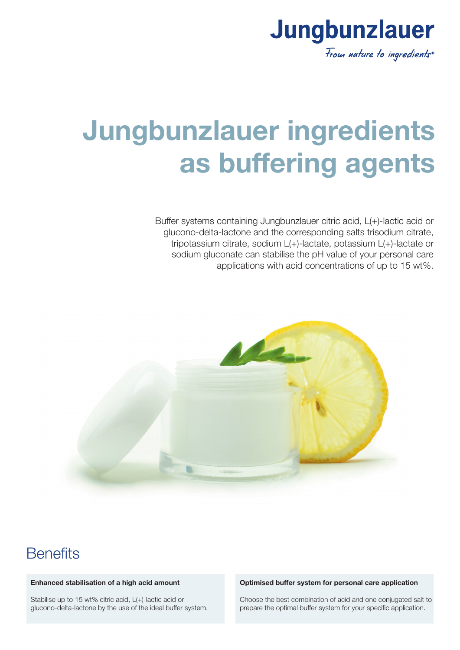

# **Jungbunzlauer ingredients as buffering agents**

Buffer systems containing Jungbunzlauer citric acid, L(+)-lactic acid or glucono-delta-lactone and the corresponding salts trisodium citrate, tripotassium citrate, sodium L(+)-lactate, potassium L(+)-lactate or sodium gluconate can stabilise the pH value of your personal care applications with acid concentrations of up to 15 wt%.



## **Benefits**

### **Enhanced stabilisation of a high acid amount**

Stabilise up to 15 wt% citric acid, L(+)-lactic acid or glucono-delta-lactone by the use of the ideal buffer system.

#### **Optimised buffer system for personal care application**

Choose the best combination of acid and one conjugated salt to prepare the optimal buffer system for your specific application.